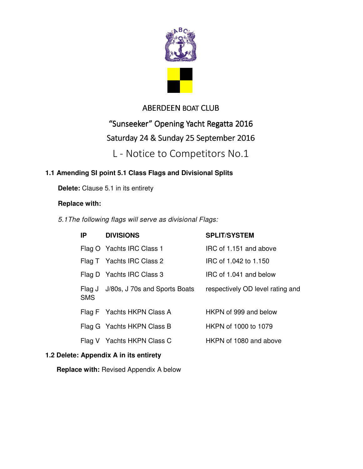

## ABERDEEN BOAT CLUB

## "Sunseeker" Opening Yacht Regatta 2016

# Saturday 24 & Sunday 25 September 2016

L - Notice to Competitors No.1

## **1.1 Amending SI point 5.1 Class Flags and Divisional Splits**

**Delete:** Clause 5.1 in its entirety

### **Replace with:**

*5.1 The following flags will serve as divisional Flags:*

| IP.        | <b>DIVISIONS</b>                       | <b>SPLIT/SYSTEM</b>              |
|------------|----------------------------------------|----------------------------------|
|            | Flag O Yachts IRC Class 1              | IRC of 1.151 and above           |
|            | Flag T Yachts IRC Class 2              | IRC of 1.042 to 1.150            |
|            | Flag D Yachts IRC Class 3              | IRC of 1.041 and below           |
| <b>SMS</b> | Flag J J/80s, J 70s and Sports Boats   | respectively OD level rating and |
|            | Flag F Yachts HKPN Class A             | HKPN of 999 and below            |
|            | Flag G Yachts HKPN Class B             | HKPN of 1000 to 1079             |
|            | Flag V Yachts HKPN Class C             | HKPN of 1080 and above           |
|            | 1.2 Delete: Appendix A in its entirety |                                  |

**Replace with:** Revised Appendix A below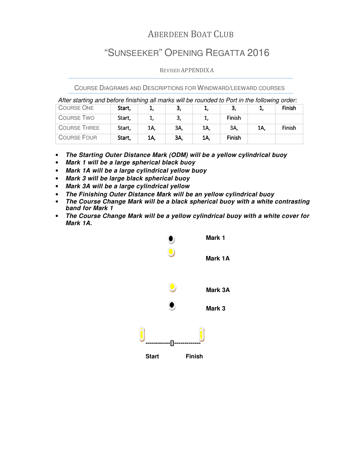# ABERDEEN BOAT CLUB

# "SUNSEEKER" OPENING REGATTA 2016

### REVISED APPENDIX A

COURSE DIAGRAMS AND DESCRIPTIONS FOR WINDWARD/LEEWARD COURSES

*After starting and before finishing all marks will be rounded to Port in the following order:*

|                     |        | ້   |     |     |        |     | ້      |
|---------------------|--------|-----|-----|-----|--------|-----|--------|
| <b>COURSE ONE</b>   | Start. |     | J.  |     | з,     |     | Finish |
| COURSE TWO          | Start, |     |     |     | Finish |     |        |
| <b>COURSE THREE</b> | Start, | 1A, | ЗΑ, | 1A, | ЗΑ.    | 1A, | Finish |
| <b>COURSE FOUR</b>  | Start, | 1A, | ЗΑ. | 1A. | Finish |     |        |

- **The Starting Outer Distance Mark (ODM) will be a yellow cylindrical buoy**
- **Mark 1 will be a large spherical black buoy**
- **Mark 1A will be a large cylindrical yellow buoy**
- **Mark 3 will be large black spherical buoy**
- **Mark 3A will be a large cylindrical yellow**
- **The Finishing Outer Distance Mark will be an yellow cylindrical buoy**
- **The Course Change Mark will be a black spherical buoy with a white contrasting band for Mark 1**
- **The Course Change Mark will be a yellow cylindrical buoy with a white cover for Mark 1A.**